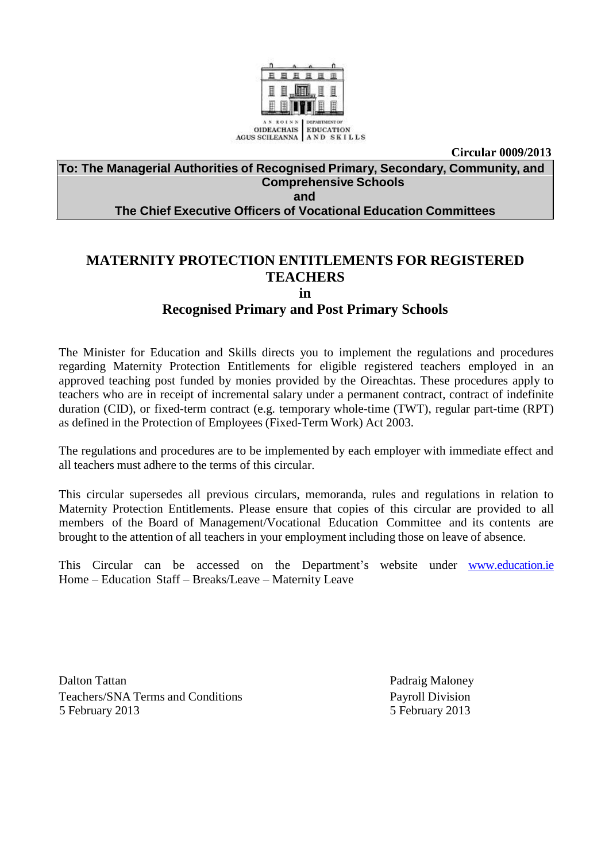

**Circular 0009/2013**

#### **To: The Managerial Authorities of Recognised Primary, Secondary, Community, and Comprehensive Schools and**

## **The Chief Executive Officers of Vocational Education Committees**

# **MATERNITY PROTECTION ENTITLEMENTS FOR REGISTERED TEACHERS**

**in**

# **Recognised Primary and Post Primary Schools**

The Minister for Education and Skills directs you to implement the regulations and procedures regarding Maternity Protection Entitlements for eligible registered teachers employed in an approved teaching post funded by monies provided by the Oireachtas. These procedures apply to teachers who are in receipt of incremental salary under a permanent contract, contract of indefinite duration (CID), or fixed-term contract (e.g. temporary whole-time (TWT), regular part-time (RPT) as defined in the Protection of Employees (Fixed-Term Work) Act 2003.

The regulations and procedures are to be implemented by each employer with immediate effect and all teachers must adhere to the terms of this circular.

This circular supersedes all previous circulars, memoranda, rules and regulations in relation to Maternity Protection Entitlements. Please ensure that copies of this circular are provided to all members of the Board of Management/Vocational Education Committee and its contents are brought to the attention of all teachers in your employment including those on leave of absence.

This Circular can be accessed on the Department's website under www.education.ie Home – Education Staff – Breaks/Leave – Maternity Leave

Dalton Tattan **Padraig Maloney** Teachers/SNA Terms and Conditions **Payroll Division** 5 February 2013 5 February 2013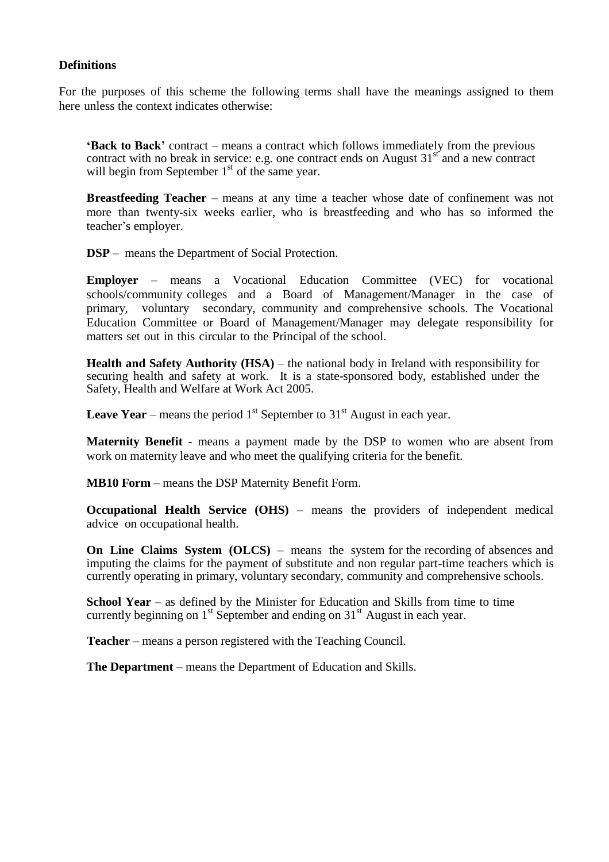#### **Definitions**

For the purposes of this scheme the following terms shall have the meanings assigned to them here unless the context indicates otherwise:

**'Back to Back'** contract – means a contract which follows immediately from the previous contract with no break in service: e.g. one contract ends on August  $31<sup>st</sup>$  and a new contract will begin from September  $1<sup>st</sup>$  of the same year.

**Breastfeeding Teacher** – means at any time a teacher whose date of confinement was not more than twenty-six weeks earlier, who is breastfeeding and who has so informed the teacher"s employer.

**DSP** – means the Department of Social Protection.

**Employer** – means a Vocational Education Committee (VEC) for vocational schools/community colleges and a Board of Management/Manager in the case of primary, voluntary secondary, community and comprehensive schools. The Vocational Education Committee or Board of Management/Manager may delegate responsibility for matters set out in this circular to the Principal of the school.

**Health and Safety Authority (HSA)** – the national body in Ireland with responsibility for securing health and safety at work. It is a state-sponsored body, established under the Safety, Health and Welfare at Work Act 2005.

**Leave Year** – means the period  $1<sup>st</sup>$  September to  $31<sup>st</sup>$  August in each year.

**Maternity Benefit** - means a payment made by the DSP to women who are absent from work on maternity leave and who meet the qualifying criteria for the benefit.

**MB10 Form** – means the DSP Maternity Benefit Form.

**Occupational Health Service (OHS)** – means the providers of independent medical advice on occupational health.

**On Line Claims System (OLCS)** – means the system for the recording of absences and imputing the claims for the payment of substitute and non regular part-time teachers which is currently operating in primary, voluntary secondary, community and comprehensive schools.

**School Year** – as defined by the Minister for Education and Skills from time to time currently beginning on  $1<sup>st</sup>$  September and ending on  $31<sup>st</sup>$  August in each year.

**Teacher** – means a person registered with the Teaching Council.

**The Department** – means the Department of Education and Skills.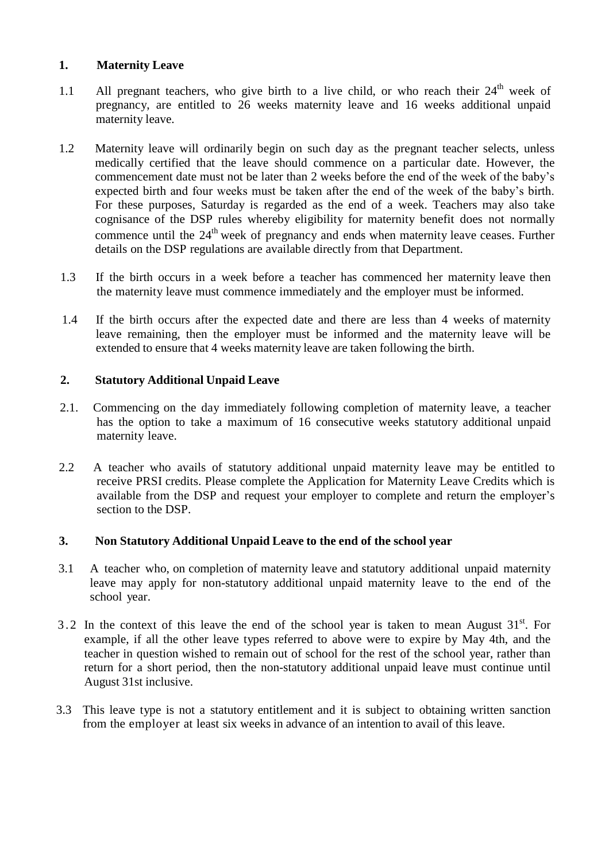## **1. Maternity Leave**

- 1.1 All pregnant teachers, who give birth to a live child, or who reach their  $24<sup>th</sup>$  week of pregnancy, are entitled to 26 weeks maternity leave and 16 weeks additional unpaid maternity leave.
- 1.2 Maternity leave will ordinarily begin on such day as the pregnant teacher selects, unless medically certified that the leave should commence on a particular date. However, the commencement date must not be later than 2 weeks before the end of the week of the baby"s expected birth and four weeks must be taken after the end of the week of the baby"s birth. For these purposes, Saturday is regarded as the end of a week. Teachers may also take cognisance of the DSP rules whereby eligibility for maternity benefit does not normally commence until the 24<sup>th</sup> week of pregnancy and ends when maternity leave ceases. Further details on the DSP regulations are available directly from that Department.
- 1.3 If the birth occurs in a week before a teacher has commenced her maternity leave then the maternity leave must commence immediately and the employer must be informed.
- 1.4 If the birth occurs after the expected date and there are less than 4 weeks of maternity leave remaining, then the employer must be informed and the maternity leave will be extended to ensure that 4 weeks maternity leave are taken following the birth.

#### **2. Statutory Additional Unpaid Leave**

- 2.1. Commencing on the day immediately following completion of maternity leave, a teacher has the option to take a maximum of 16 consecutive weeks statutory additional unpaid maternity leave.
- 2.2 A teacher who avails of statutory additional unpaid maternity leave may be entitled to receive PRSI credits. Please complete the Application for Maternity Leave Credits which is available from the DSP and request your employer to complete and return the employer's section to the DSP.

#### **3. Non Statutory Additional Unpaid Leave to the end of the school year**

- 3.1 A teacher who, on completion of maternity leave and statutory additional unpaid maternity leave may apply for non-statutory additional unpaid maternity leave to the end of the school year.
- 3.2 In the context of this leave the end of the school year is taken to mean August  $31<sup>st</sup>$ . For example, if all the other leave types referred to above were to expire by May 4th, and the teacher in question wished to remain out of school for the rest of the school year, rather than return for a short period, then the non-statutory additional unpaid leave must continue until August 31st inclusive.
- 3.3 This leave type is not a statutory entitlement and it is subject to obtaining written sanction from the employer at least six weeks in advance of an intention to avail of this leave.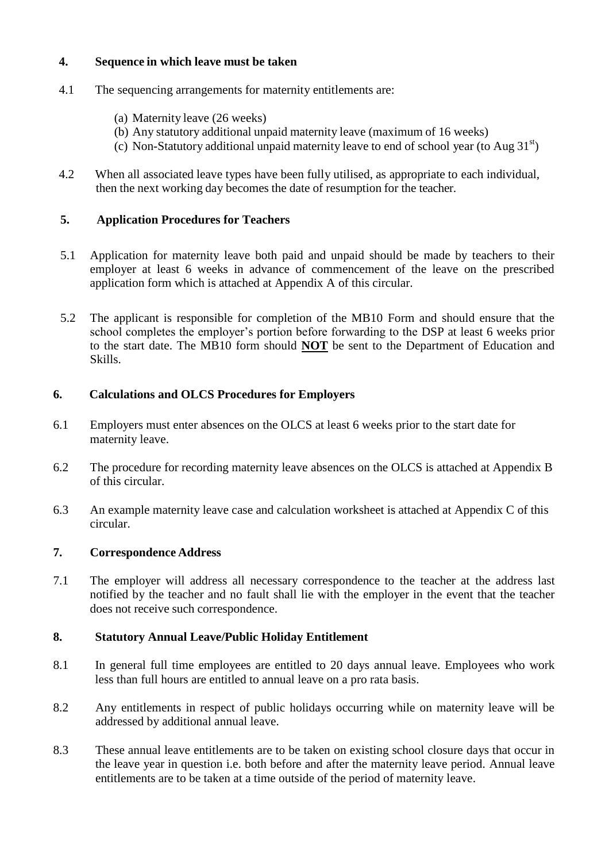#### **4. Sequence in which leave must be taken**

- 4.1 The sequencing arrangements for maternity entitlements are:
	- (a) Maternity leave (26 weeks)
	- (b) Any statutory additional unpaid maternity leave (maximum of 16 weeks)
	- (c) Non-Statutory additional unpaid maternity leave to end of school year (to Aug  $31<sup>st</sup>$ )
- 4.2 When all associated leave types have been fully utilised, as appropriate to each individual, then the next working day becomes the date of resumption for the teacher.

## **5. Application Procedures for Teachers**

- 5.1 Application for maternity leave both paid and unpaid should be made by teachers to their employer at least 6 weeks in advance of commencement of the leave on the prescribed application form which is attached at Appendix A of this circular.
- 5.2 The applicant is responsible for completion of the MB10 Form and should ensure that the school completes the employer"s portion before forwarding to the DSP at least 6 weeks prior to the start date. The MB10 form should **NOT** be sent to the Department of Education and Skills.

## **6. Calculations and OLCS Procedures for Employers**

- 6.1 Employers must enter absences on the OLCS at least 6 weeks prior to the start date for maternity leave.
- 6.2 The procedure for recording maternity leave absences on the OLCS is attached at Appendix B of this circular.
- 6.3 An example maternity leave case and calculation worksheet is attached at Appendix C of this circular.

## **7. Correspondence Address**

7.1 The employer will address all necessary correspondence to the teacher at the address last notified by the teacher and no fault shall lie with the employer in the event that the teacher does not receive such correspondence.

## **8. Statutory Annual Leave/Public Holiday Entitlement**

- 8.1 In general full time employees are entitled to 20 days annual leave. Employees who work less than full hours are entitled to annual leave on a pro rata basis.
- 8.2 Any entitlements in respect of public holidays occurring while on maternity leave will be addressed by additional annual leave.
- 8.3 These annual leave entitlements are to be taken on existing school closure days that occur in the leave year in question i.e. both before and after the maternity leave period. Annual leave entitlements are to be taken at a time outside of the period of maternity leave.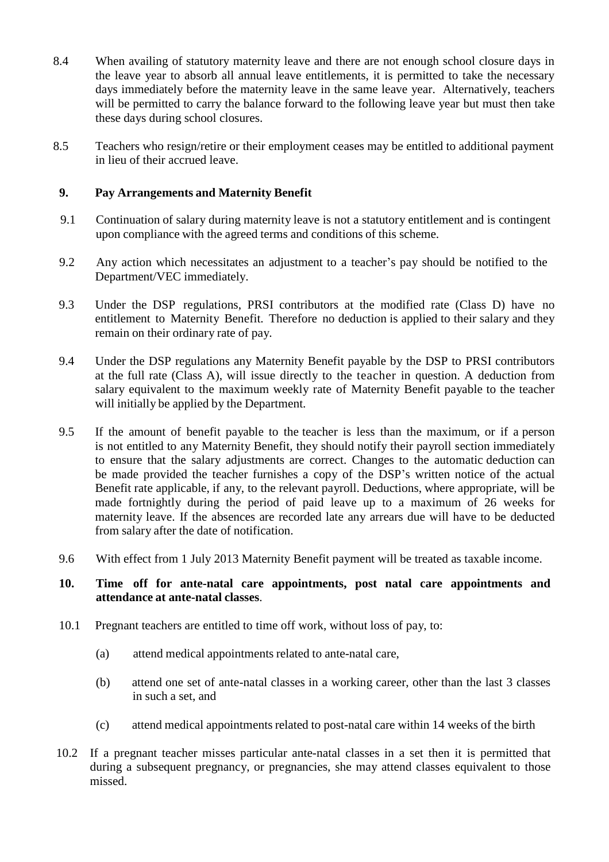- 8.4 When availing of statutory maternity leave and there are not enough school closure days in the leave year to absorb all annual leave entitlements, it is permitted to take the necessary days immediately before the maternity leave in the same leave year. Alternatively, teachers will be permitted to carry the balance forward to the following leave year but must then take these days during school closures.
- 8.5 Teachers who resign/retire or their employment ceases may be entitled to additional payment in lieu of their accrued leave.

#### **9. Pay Arrangements and Maternity Benefit**

- 9.1 Continuation of salary during maternity leave is not a statutory entitlement and is contingent upon compliance with the agreed terms and conditions of this scheme.
- 9.2 Any action which necessitates an adjustment to a teacher's pay should be notified to the Department/VEC immediately.
- 9.3 Under the DSP regulations, PRSI contributors at the modified rate (Class D) have no entitlement to Maternity Benefit. Therefore no deduction is applied to their salary and they remain on their ordinary rate of pay.
- 9.4 Under the DSP regulations any Maternity Benefit payable by the DSP to PRSI contributors at the full rate (Class A), will issue directly to the teacher in question. A deduction from salary equivalent to the maximum weekly rate of Maternity Benefit payable to the teacher will initially be applied by the Department.
- 9.5 If the amount of benefit payable to the teacher is less than the maximum, or if a person is not entitled to any Maternity Benefit, they should notify their payroll section immediately to ensure that the salary adjustments are correct. Changes to the automatic deduction can be made provided the teacher furnishes a copy of the DSP's written notice of the actual Benefit rate applicable, if any, to the relevant payroll. Deductions, where appropriate, will be made fortnightly during the period of paid leave up to a maximum of 26 weeks for maternity leave. If the absences are recorded late any arrears due will have to be deducted from salary after the date of notification.
- 9.6 With effect from 1 July 2013 Maternity Benefit payment will be treated as taxable income.

#### **10. Time off for ante-natal care appointments, post natal care appointments and attendance at ante-natal classes**.

- 10.1 Pregnant teachers are entitled to time off work, without loss of pay, to:
	- (a) attend medical appointments related to ante-natal care,
	- (b) attend one set of ante-natal classes in a working career, other than the last 3 classes in such a set, and
	- (c) attend medical appointments related to post-natal care within 14 weeks of the birth
- 10.2 If a pregnant teacher misses particular ante-natal classes in a set then it is permitted that during a subsequent pregnancy, or pregnancies, she may attend classes equivalent to those missed.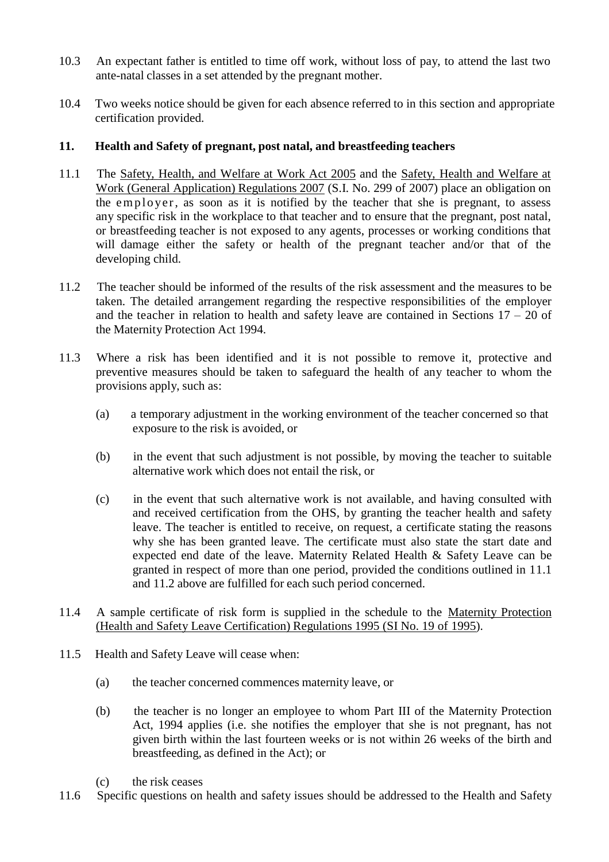- 10.3 An expectant father is entitled to time off work, without loss of pay, to attend the last two ante-natal classes in a set attended by the pregnant mother.
- 10.4 Two weeks notice should be given for each absence referred to in this section and appropriate certification provided.

## **11. Health and Safety of pregnant, post natal, and breastfeeding teachers**

- 11.1 The Safety, Health, and Welfare at Work Act 2005 and the Safety, Health and Welfare at Work (General Application) Regulations 2007 (S.I. No. 299 of 2007) place an obligation on the employer, as soon as it is notified by the teacher that she is pregnant, to assess any specific risk in the workplace to that teacher and to ensure that the pregnant, post natal, or breastfeeding teacher is not exposed to any agents, processes or working conditions that will damage either the safety or health of the pregnant teacher and/or that of the developing child.
- 11.2 The teacher should be informed of the results of the risk assessment and the measures to be taken. The detailed arrangement regarding the respective responsibilities of the employer and the teacher in relation to health and safety leave are contained in Sections  $17 - 20$  of the Maternity Protection Act 1994.
- 11.3 Where a risk has been identified and it is not possible to remove it, protective and preventive measures should be taken to safeguard the health of any teacher to whom the provisions apply, such as:
	- (a) a temporary adjustment in the working environment of the teacher concerned so that exposure to the risk is avoided, or
	- (b) in the event that such adjustment is not possible, by moving the teacher to suitable alternative work which does not entail the risk, or
	- (c) in the event that such alternative work is not available, and having consulted with and received certification from the OHS, by granting the teacher health and safety leave. The teacher is entitled to receive, on request, a certificate stating the reasons why she has been granted leave. The certificate must also state the start date and expected end date of the leave. Maternity Related Health & Safety Leave can be granted in respect of more than one period, provided the conditions outlined in 11.1 and 11.2 above are fulfilled for each such period concerned.
- 11.4 A sample certificate of risk form is supplied in the schedule to the Maternity Protection (Health and Safety Leave Certification) Regulations 1995 (SI No. 19 of 1995).
- 11.5 Health and Safety Leave will cease when:
	- (a) the teacher concerned commences maternity leave, or
	- (b) the teacher is no longer an employee to whom Part III of the Maternity Protection Act, 1994 applies (i.e. she notifies the employer that she is not pregnant, has not given birth within the last fourteen weeks or is not within 26 weeks of the birth and breastfeeding, as defined in the Act); or
	- (c) the risk ceases
- 11.6 Specific questions on health and safety issues should be addressed to the Health and Safety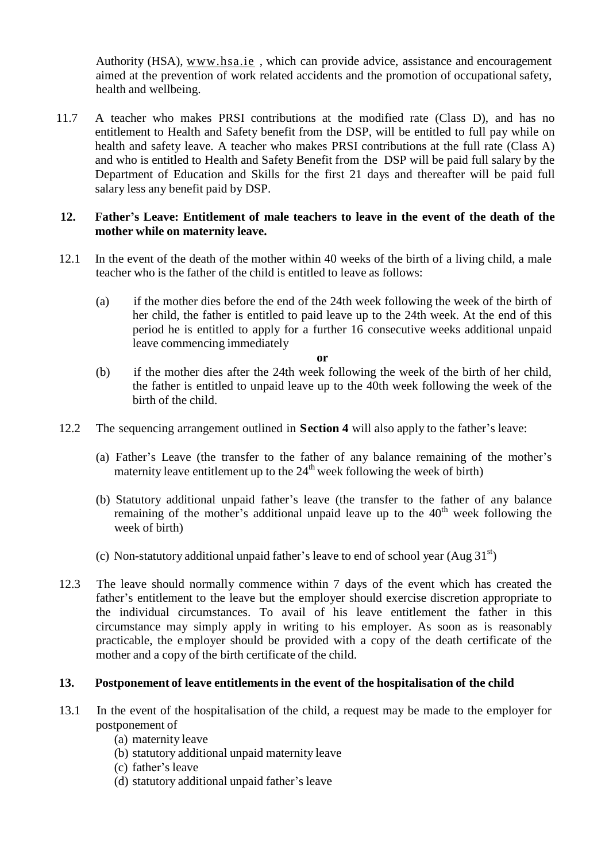Authority (HSA), [www.hsa.ie](http://www.hsa.ie/) , which can provide advice, assistance and encouragement aimed at the prevention of work related accidents and the promotion of occupational safety, health and wellbeing.

11.7 A teacher who makes PRSI contributions at the modified rate (Class D), and has no entitlement to Health and Safety benefit from the DSP, will be entitled to full pay while on health and safety leave. A teacher who makes PRSI contributions at the full rate (Class A) and who is entitled to Health and Safety Benefit from the DSP will be paid full salary by the Department of Education and Skills for the first 21 days and thereafter will be paid full salary less any benefit paid by DSP.

#### **12. Father's Leave: Entitlement of male teachers to leave in the event of the death of the mother while on maternity leave.**

- 12.1 In the event of the death of the mother within 40 weeks of the birth of a living child, a male teacher who is the father of the child is entitled to leave as follows:
	- (a) if the mother dies before the end of the 24th week following the week of the birth of her child, the father is entitled to paid leave up to the 24th week. At the end of this period he is entitled to apply for a further 16 consecutive weeks additional unpaid leave commencing immediately

**or**

- (b) if the mother dies after the 24th week following the week of the birth of her child, the father is entitled to unpaid leave up to the 40th week following the week of the birth of the child.
- 12.2 The sequencing arrangement outlined in **Section 4** will also apply to the father"s leave:
	- (a) Father"s Leave (the transfer to the father of any balance remaining of the mother"s maternity leave entitlement up to the  $24<sup>th</sup>$  week following the week of birth)
	- (b) Statutory additional unpaid father"s leave (the transfer to the father of any balance remaining of the mother's additional unpaid leave up to the  $40<sup>th</sup>$  week following the week of birth)
	- (c) Non-statutory additional unpaid father's leave to end of school year  $(Aug 31<sup>st</sup>)$
- 12.3 The leave should normally commence within 7 days of the event which has created the father's entitlement to the leave but the employer should exercise discretion appropriate to the individual circumstances. To avail of his leave entitlement the father in this circumstance may simply apply in writing to his employer. As soon as is reasonably practicable, the employer should be provided with a copy of the death certificate of the mother and a copy of the birth certificate of the child.

## **13. Postponement of leave entitlements in the event of the hospitalisation of the child**

- 13.1 In the event of the hospitalisation of the child, a request may be made to the employer for postponement of
	- (a) maternity leave
	- (b) statutory additional unpaid maternity leave
	- (c) father"s leave
	- (d) statutory additional unpaid father"s leave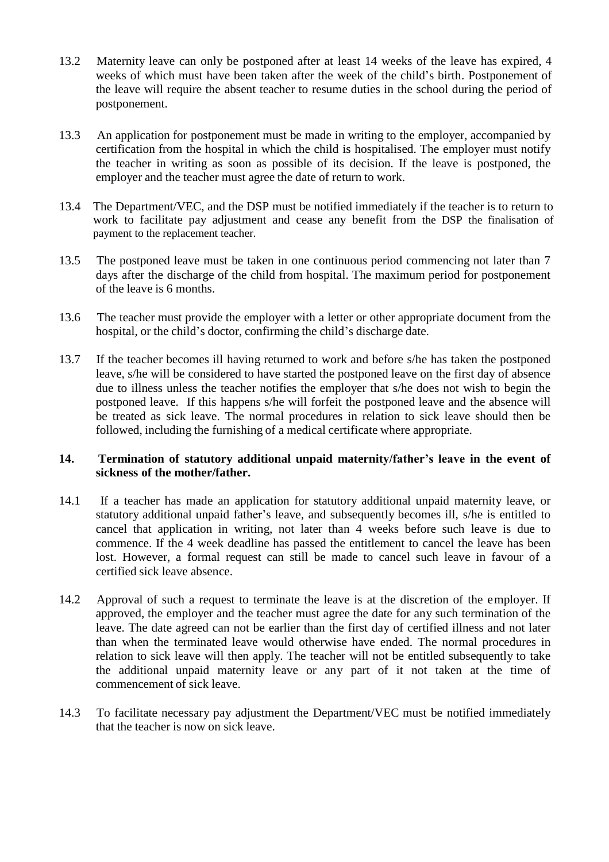- 13.2 Maternity leave can only be postponed after at least 14 weeks of the leave has expired, 4 weeks of which must have been taken after the week of the child"s birth. Postponement of the leave will require the absent teacher to resume duties in the school during the period of postponement.
- 13.3 An application for postponement must be made in writing to the employer, accompanied by certification from the hospital in which the child is hospitalised. The employer must notify the teacher in writing as soon as possible of its decision. If the leave is postponed, the employer and the teacher must agree the date of return to work.
- 13.4 The Department/VEC, and the DSP must be notified immediately if the teacher is to return to work to facilitate pay adjustment and cease any benefit from the DSP the finalisation of payment to the replacement teacher.
- 13.5 The postponed leave must be taken in one continuous period commencing not later than 7 days after the discharge of the child from hospital. The maximum period for postponement of the leave is 6 months.
- 13.6 The teacher must provide the employer with a letter or other appropriate document from the hospital, or the child"s doctor, confirming the child"s discharge date.
- 13.7 If the teacher becomes ill having returned to work and before s/he has taken the postponed leave, s/he will be considered to have started the postponed leave on the first day of absence due to illness unless the teacher notifies the employer that s/he does not wish to begin the postponed leave. If this happens s/he will forfeit the postponed leave and the absence will be treated as sick leave. The normal procedures in relation to sick leave should then be followed, including the furnishing of a medical certificate where appropriate.

#### **14. Termination of statutory additional unpaid maternity/father's leave in the event of sickness of the mother/father.**

- 14.1 If a teacher has made an application for statutory additional unpaid maternity leave, or statutory additional unpaid father"s leave, and subsequently becomes ill, s/he is entitled to cancel that application in writing, not later than 4 weeks before such leave is due to commence. If the 4 week deadline has passed the entitlement to cancel the leave has been lost. However, a formal request can still be made to cancel such leave in favour of a certified sick leave absence.
- 14.2 Approval of such a request to terminate the leave is at the discretion of the employer. If approved, the employer and the teacher must agree the date for any such termination of the leave. The date agreed can not be earlier than the first day of certified illness and not later than when the terminated leave would otherwise have ended. The normal procedures in relation to sick leave will then apply. The teacher will not be entitled subsequently to take the additional unpaid maternity leave or any part of it not taken at the time of commencement of sick leave.
- 14.3 To facilitate necessary pay adjustment the Department/VEC must be notified immediately that the teacher is now on sick leave.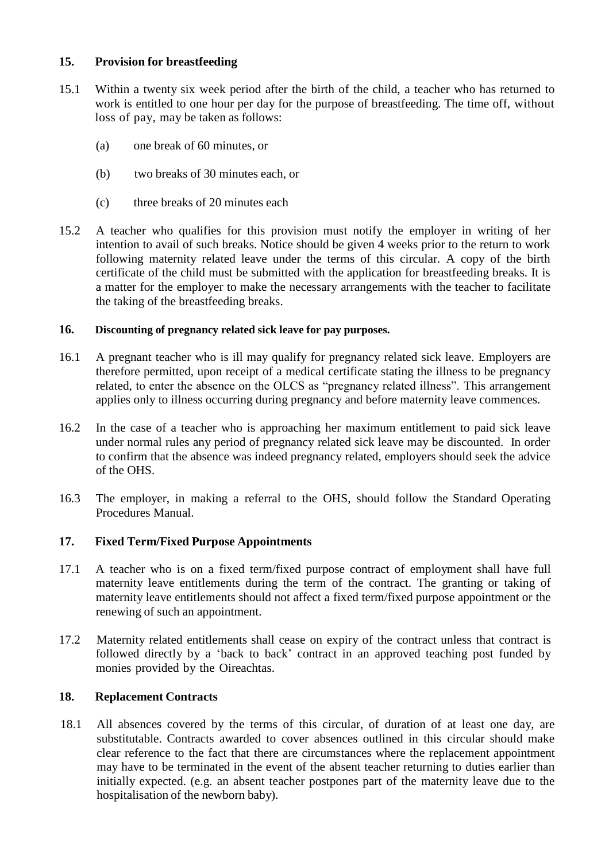## **15. Provision for breastfeeding**

- 15.1 Within a twenty six week period after the birth of the child, a teacher who has returned to work is entitled to one hour per day for the purpose of breastfeeding. The time off, without loss of pay, may be taken as follows:
	- (a) one break of 60 minutes, or
	- (b) two breaks of 30 minutes each, or
	- (c) three breaks of 20 minutes each
- 15.2 A teacher who qualifies for this provision must notify the employer in writing of her intention to avail of such breaks. Notice should be given 4 weeks prior to the return to work following maternity related leave under the terms of this circular. A copy of the birth certificate of the child must be submitted with the application for breastfeeding breaks. It is a matter for the employer to make the necessary arrangements with the teacher to facilitate the taking of the breastfeeding breaks.

#### **16. Discounting of pregnancy related sick leave for pay purposes.**

- 16.1 A pregnant teacher who is ill may qualify for pregnancy related sick leave. Employers are therefore permitted, upon receipt of a medical certificate stating the illness to be pregnancy related, to enter the absence on the OLCS as "pregnancy related illness". This arrangement applies only to illness occurring during pregnancy and before maternity leave commences.
- 16.2 In the case of a teacher who is approaching her maximum entitlement to paid sick leave under normal rules any period of pregnancy related sick leave may be discounted. In order to confirm that the absence was indeed pregnancy related, employers should seek the advice of the OHS.
- 16.3 The employer, in making a referral to the OHS, should follow the Standard Operating Procedures Manual.

#### **17. Fixed Term/Fixed Purpose Appointments**

- 17.1 A teacher who is on a fixed term/fixed purpose contract of employment shall have full maternity leave entitlements during the term of the contract. The granting or taking of maternity leave entitlements should not affect a fixed term/fixed purpose appointment or the renewing of such an appointment.
- 17.2 Maternity related entitlements shall cease on expiry of the contract unless that contract is followed directly by a "back to back" contract in an approved teaching post funded by monies provided by the Oireachtas.

## **18. Replacement Contracts**

18.1 All absences covered by the terms of this circular, of duration of at least one day, are substitutable. Contracts awarded to cover absences outlined in this circular should make clear reference to the fact that there are circumstances where the replacement appointment may have to be terminated in the event of the absent teacher returning to duties earlier than initially expected. (e.g. an absent teacher postpones part of the maternity leave due to the hospitalisation of the newborn baby).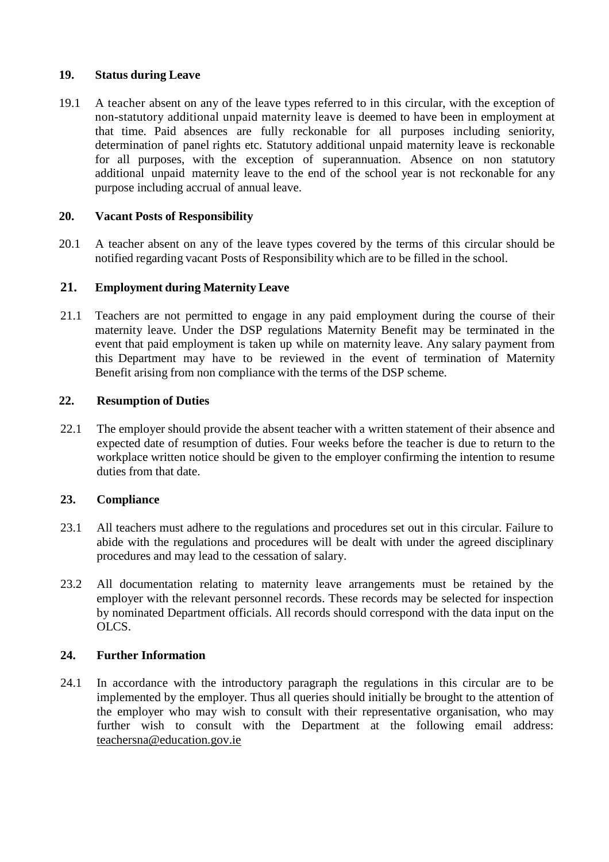#### **19. Status during Leave**

19.1 A teacher absent on any of the leave types referred to in this circular, with the exception of non-statutory additional unpaid maternity leave is deemed to have been in employment at that time. Paid absences are fully reckonable for all purposes including seniority, determination of panel rights etc. Statutory additional unpaid maternity leave is reckonable for all purposes, with the exception of superannuation. Absence on non statutory additional unpaid maternity leave to the end of the school year is not reckonable for any purpose including accrual of annual leave.

#### **20. Vacant Posts of Responsibility**

20.1 A teacher absent on any of the leave types covered by the terms of this circular should be notified regarding vacant Posts of Responsibility which are to be filled in the school.

#### **21. Employment during Maternity Leave**

21.1 Teachers are not permitted to engage in any paid employment during the course of their maternity leave. Under the DSP regulations Maternity Benefit may be terminated in the event that paid employment is taken up while on maternity leave. Any salary payment from this Department may have to be reviewed in the event of termination of Maternity Benefit arising from non compliance with the terms of the DSP scheme.

#### **22. Resumption of Duties**

22.1 The employer should provide the absent teacher with a written statement of their absence and expected date of resumption of duties. Four weeks before the teacher is due to return to the workplace written notice should be given to the employer confirming the intention to resume duties from that date.

## **23. Compliance**

- 23.1 All teachers must adhere to the regulations and procedures set out in this circular. Failure to abide with the regulations and procedures will be dealt with under the agreed disciplinary procedures and may lead to the cessation of salary.
- 23.2 All documentation relating to maternity leave arrangements must be retained by the employer with the relevant personnel records. These records may be selected for inspection by nominated Department officials. All records should correspond with the data input on the OLCS.

#### **24. Further Information**

24.1 In accordance with the introductory paragraph the regulations in this circular are to be implemented by the employer. Thus all queries should initially be brought to the attention of the employer who may wish to consult with their representative organisation, who may further wish to consult with the Department at the following email address: [teachersna@education.gov.ie](mailto:teachersna@education.gov.ie)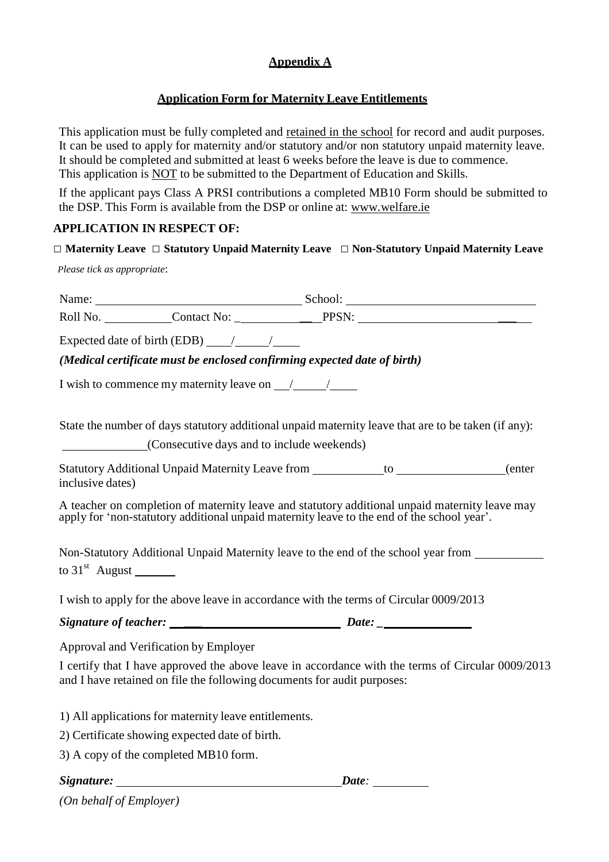# **Appendix A**

# **Application Form for Maternity Leave Entitlements**

This application must be fully completed and retained in the school for record and audit purposes. It can be used to apply for maternity and/or statutory and/or non statutory unpaid maternity leave. It should be completed and submitted at least 6 weeks before the leave is due to commence. This application is NOT to be submitted to the Department of Education and Skills.

If the applicant pays Class A PRSI contributions a completed MB10 Form should be submitted to the DSP. This Form is available from the DSP or online at: [www.welfare.ie](http://www.welfare.ie/)

# **APPLICATION IN RESPECT OF:**

## □ **Maternity Leave** □ **Statutory Unpaid Maternity Leave** □ **Non-Statutory Unpaid Maternity Leave**

*Please tick as appropriate*:

|                                                                                                                                                                                              | Name: School: School: School:                                                      |  |  |
|----------------------------------------------------------------------------------------------------------------------------------------------------------------------------------------------|------------------------------------------------------------------------------------|--|--|
|                                                                                                                                                                                              |                                                                                    |  |  |
| Expected date of birth (EDB) $\frac{\ }{\ }$                                                                                                                                                 |                                                                                    |  |  |
| (Medical certificate must be enclosed confirming expected date of birth)                                                                                                                     |                                                                                    |  |  |
| I wish to commence my maternity leave on $\frac{1}{\sqrt{2}}$                                                                                                                                |                                                                                    |  |  |
| State the number of days statutory additional unpaid maternity leave that are to be taken (if any):<br>(Consecutive days and to include weekends)                                            |                                                                                    |  |  |
| Statutory Additional Unpaid Maternity Leave from ___________to _______________(enter<br>inclusive dates)                                                                                     |                                                                                    |  |  |
| A teacher on completion of maternity leave and statutory additional unpaid maternity leave may<br>apply for 'non-statutory additional unpaid maternity leave to the end of the school year'. |                                                                                    |  |  |
| to $31st$ August ________                                                                                                                                                                    | Non-Statutory Additional Unpaid Maternity leave to the end of the school year from |  |  |
| I wish to apply for the above leave in accordance with the terms of Circular 0009/2013                                                                                                       |                                                                                    |  |  |
|                                                                                                                                                                                              |                                                                                    |  |  |
| Approval and Verification by Employer                                                                                                                                                        |                                                                                    |  |  |
| I certify that I have approved the above leave in accordance with the terms of Circular 0009/2013<br>and I have retained on file the following documents for audit purposes:                 |                                                                                    |  |  |
| 1) All applications for maternity leave entitlements.                                                                                                                                        |                                                                                    |  |  |
| 2) Certificate showing expected date of birth.                                                                                                                                               |                                                                                    |  |  |
| 3) A copy of the completed MB10 form.                                                                                                                                                        |                                                                                    |  |  |
| Signature: Date: Date:                                                                                                                                                                       |                                                                                    |  |  |

*(On behalf of Employer)*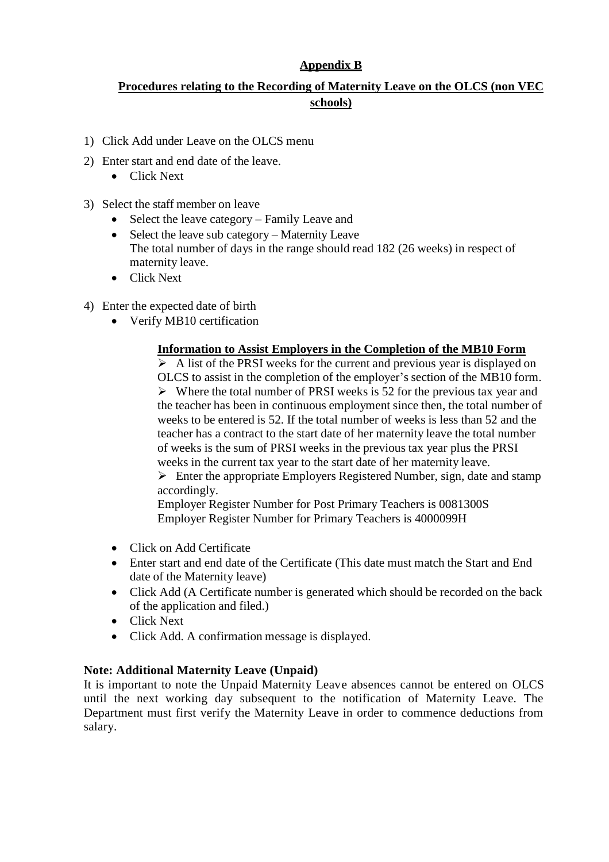## **Appendix B**

# **Procedures relating to the Recording of Maternity Leave on the OLCS (non VEC schools)**

- 1) Click Add under Leave on the OLCS menu
- 2) Enter start and end date of the leave.
	- Click Next
- 3) Select the staff member on leave
	- Select the leave category Family Leave and
	- Select the leave sub category Maternity Leave The total number of days in the range should read 182 (26 weeks) in respect of maternity leave.
	- Click Next
- 4) Enter the expected date of birth
	- Verify MB10 certification

#### **Information to Assist Employers in the Completion of the MB10 Form**

 $\triangleright$  A list of the PRSI weeks for the current and previous year is displayed on OLCS to assist in the completion of the employer"s section of the MB10 form.  $\triangleright$  Where the total number of PRSI weeks is 52 for the previous tax year and the teacher has been in continuous employment since then, the total number of weeks to be entered is 52. If the total number of weeks is less than 52 and the teacher has a contract to the start date of her maternity leave the total number of weeks is the sum of PRSI weeks in the previous tax year plus the PRSI weeks in the current tax year to the start date of her maternity leave.

 $\triangleright$  Enter the appropriate Employers Registered Number, sign, date and stamp accordingly.

Employer Register Number for Post Primary Teachers is 0081300S Employer Register Number for Primary Teachers is 4000099H

- Click on Add Certificate
- Enter start and end date of the Certificate (This date must match the Start and End date of the Maternity leave)
- Click Add (A Certificate number is generated which should be recorded on the back of the application and filed.)
- Click Next
- Click Add. A confirmation message is displayed.

#### **Note: Additional Maternity Leave (Unpaid)**

It is important to note the Unpaid Maternity Leave absences cannot be entered on OLCS until the next working day subsequent to the notification of Maternity Leave. The Department must first verify the Maternity Leave in order to commence deductions from salary.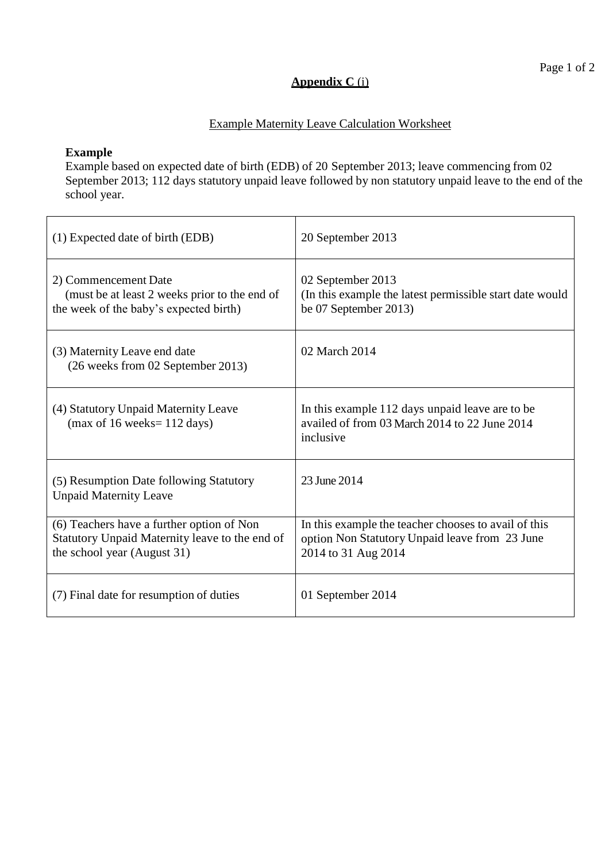## **Appendix C** (i)

## Example Maternity Leave Calculation Worksheet

#### **Example**

Example based on expected date of birth (EDB) of 20 September 2013; leave commencing from 02 September 2013; 112 days statutory unpaid leave followed by non statutory unpaid leave to the end of the school year.

| (1) Expected date of birth (EDB)                                                                                           | 20 September 2013                                                                                                             |
|----------------------------------------------------------------------------------------------------------------------------|-------------------------------------------------------------------------------------------------------------------------------|
| 2) Commencement Date<br>(must be at least 2 weeks prior to the end of<br>the week of the baby's expected birth)            | 02 September 2013<br>(In this example the latest permissible start date would<br>be 07 September 2013)                        |
| (3) Maternity Leave end date<br>(26 weeks from 02 September 2013)                                                          | 02 March 2014                                                                                                                 |
| (4) Statutory Unpaid Maternity Leave<br>$(max of 16 weeks = 112 days)$                                                     | In this example 112 days unpaid leave are to be<br>availed of from 03 March 2014 to 22 June 2014<br>inclusive                 |
| (5) Resumption Date following Statutory<br><b>Unpaid Maternity Leave</b>                                                   | 23 June 2014                                                                                                                  |
| (6) Teachers have a further option of Non<br>Statutory Unpaid Maternity leave to the end of<br>the school year (August 31) | In this example the teacher chooses to avail of this<br>option Non Statutory Unpaid leave from 23 June<br>2014 to 31 Aug 2014 |
| (7) Final date for resumption of duties                                                                                    | 01 September 2014                                                                                                             |